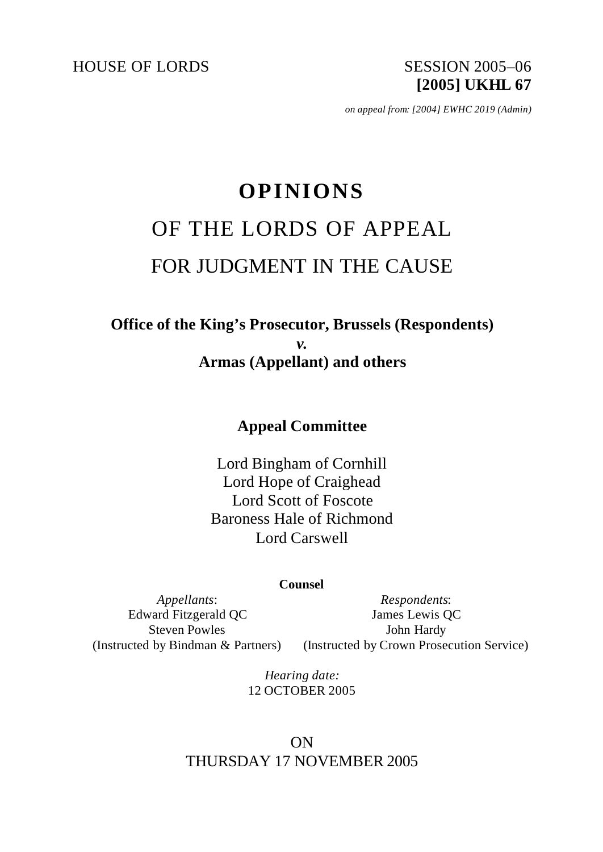HOUSE OF LORDS SESSION 2005-06

**[2005] UKHL 67**

*on appeal from: [2004] EWHC 2019 (Admin)*

# **OPINIONS** OF THE LORDS OF APPEAL FOR JUDGMENT IN THE CAUSE

# **Office of the King's Prosecutor, Brussels (Respondents)** *v.* **Armas (Appellant) and others**

# **Appeal Committee**

Lord Bingham of Cornhill Lord Hope of Craighead Lord Scott of Foscote Baroness Hale of Richmond Lord Carswell

#### **Counsel**

*Appellants*: Edward Fitzgerald QC Steven Powles (Instructed by Bindman & Partners)

*Respondents*: James Lewis QC John Hardy (Instructed by Crown Prosecution Service)

*Hearing date:* 12 OCTOBER 2005

# ON THURSDAY 17 NOVEMBER 2005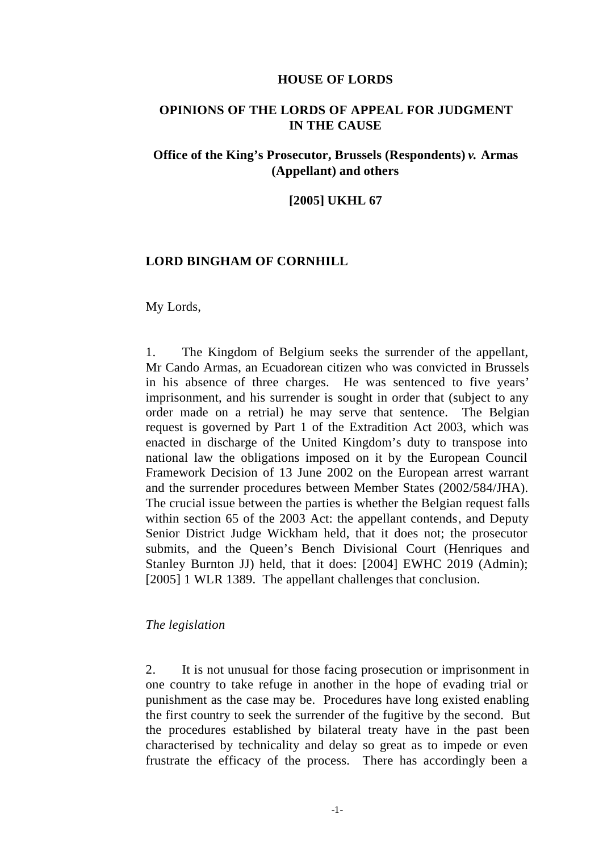#### **HOUSE OF LORDS**

## **OPINIONS OF THE LORDS OF APPEAL FOR JUDGMENT IN THE CAUSE**

## **Office of the King's Prosecutor, Brussels (Respondents)** *v.* **Armas (Appellant) and others**

#### **[2005] UKHL 67**

#### **LORD BINGHAM OF CORNHILL**

#### My Lords,

1. The Kingdom of Belgium seeks the surrender of the appellant, Mr Cando Armas, an Ecuadorean citizen who was convicted in Brussels in his absence of three charges. He was sentenced to five years' imprisonment, and his surrender is sought in order that (subject to any order made on a retrial) he may serve that sentence. The Belgian request is governed by Part 1 of the Extradition Act 2003, which was enacted in discharge of the United Kingdom's duty to transpose into national law the obligations imposed on it by the European Council Framework Decision of 13 June 2002 on the European arrest warrant and the surrender procedures between Member States (2002/584/JHA). The crucial issue between the parties is whether the Belgian request falls within section 65 of the 2003 Act: the appellant contends, and Deputy Senior District Judge Wickham held, that it does not; the prosecutor submits, and the Queen's Bench Divisional Court (Henriques and Stanley Burnton JJ) held, that it does: [2004] EWHC 2019 (Admin); [2005] 1 WLR 1389. The appellant challenges that conclusion.

#### *The legislation*

2. It is not unusual for those facing prosecution or imprisonment in one country to take refuge in another in the hope of evading trial or punishment as the case may be. Procedures have long existed enabling the first country to seek the surrender of the fugitive by the second. But the procedures established by bilateral treaty have in the past been characterised by technicality and delay so great as to impede or even frustrate the efficacy of the process. There has accordingly been a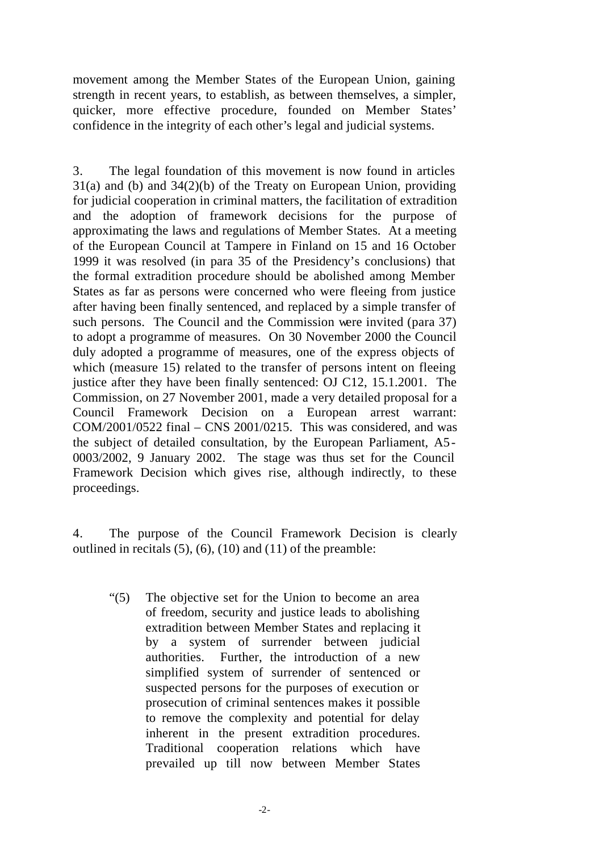movement among the Member States of the European Union, gaining strength in recent years, to establish, as between themselves, a simpler, quicker, more effective procedure, founded on Member States' confidence in the integrity of each other's legal and judicial systems.

3. The legal foundation of this movement is now found in articles 31(a) and (b) and 34(2)(b) of the Treaty on European Union, providing for judicial cooperation in criminal matters, the facilitation of extradition and the adoption of framework decisions for the purpose of approximating the laws and regulations of Member States. At a meeting of the European Council at Tampere in Finland on 15 and 16 October 1999 it was resolved (in para 35 of the Presidency's conclusions) that the formal extradition procedure should be abolished among Member States as far as persons were concerned who were fleeing from justice after having been finally sentenced, and replaced by a simple transfer of such persons. The Council and the Commission were invited (para 37) to adopt a programme of measures. On 30 November 2000 the Council duly adopted a programme of measures, one of the express objects of which (measure 15) related to the transfer of persons intent on fleeing justice after they have been finally sentenced: OJ C12, 15.1.2001. The Commission, on 27 November 2001, made a very detailed proposal for a Council Framework Decision on a European arrest warrant: COM/2001/0522 final – CNS 2001/0215. This was considered, and was the subject of detailed consultation, by the European Parliament, A5- 0003/2002, 9 January 2002. The stage was thus set for the Council Framework Decision which gives rise, although indirectly, to these proceedings.

4. The purpose of the Council Framework Decision is clearly outlined in recitals  $(5)$ ,  $(6)$ ,  $(10)$  and  $(11)$  of the preamble:

"(5) The objective set for the Union to become an area of freedom, security and justice leads to abolishing extradition between Member States and replacing it by a system of surrender between judicial authorities. Further, the introduction of a new simplified system of surrender of sentenced or suspected persons for the purposes of execution or prosecution of criminal sentences makes it possible to remove the complexity and potential for delay inherent in the present extradition procedures. Traditional cooperation relations which have prevailed up till now between Member States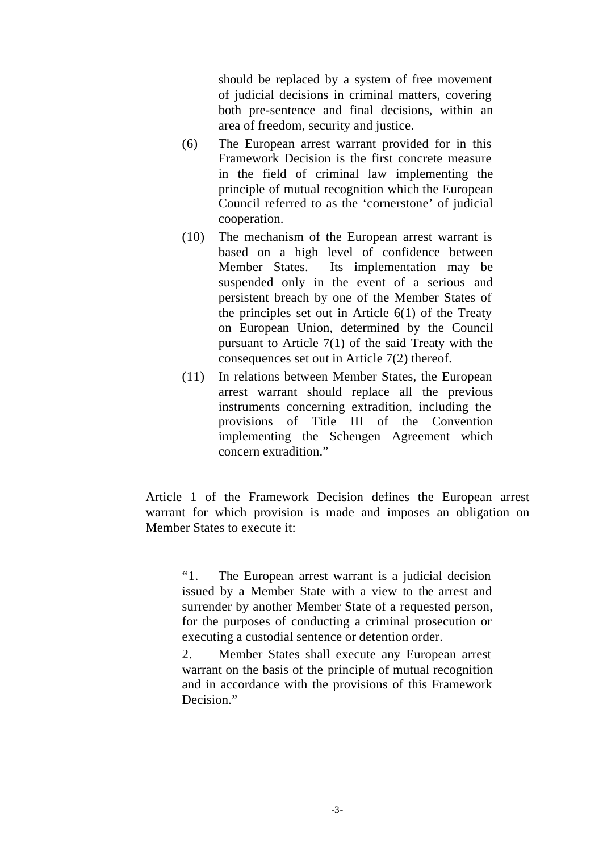should be replaced by a system of free movement of judicial decisions in criminal matters, covering both pre-sentence and final decisions, within an area of freedom, security and justice.

- (6) The European arrest warrant provided for in this Framework Decision is the first concrete measure in the field of criminal law implementing the principle of mutual recognition which the European Council referred to as the 'cornerstone' of judicial cooperation.
- (10) The mechanism of the European arrest warrant is based on a high level of confidence between Member States. Its implementation may be suspended only in the event of a serious and persistent breach by one of the Member States of the principles set out in Article 6(1) of the Treaty on European Union, determined by the Council pursuant to Article 7(1) of the said Treaty with the consequences set out in Article 7(2) thereof.
- (11) In relations between Member States, the European arrest warrant should replace all the previous instruments concerning extradition, including the provisions of Title III of the Convention implementing the Schengen Agreement which concern extradition."

Article 1 of the Framework Decision defines the European arrest warrant for which provision is made and imposes an obligation on Member States to execute it:

"1. The European arrest warrant is a judicial decision issued by a Member State with a view to the arrest and surrender by another Member State of a requested person, for the purposes of conducting a criminal prosecution or executing a custodial sentence or detention order.

2. Member States shall execute any European arrest warrant on the basis of the principle of mutual recognition and in accordance with the provisions of this Framework Decision."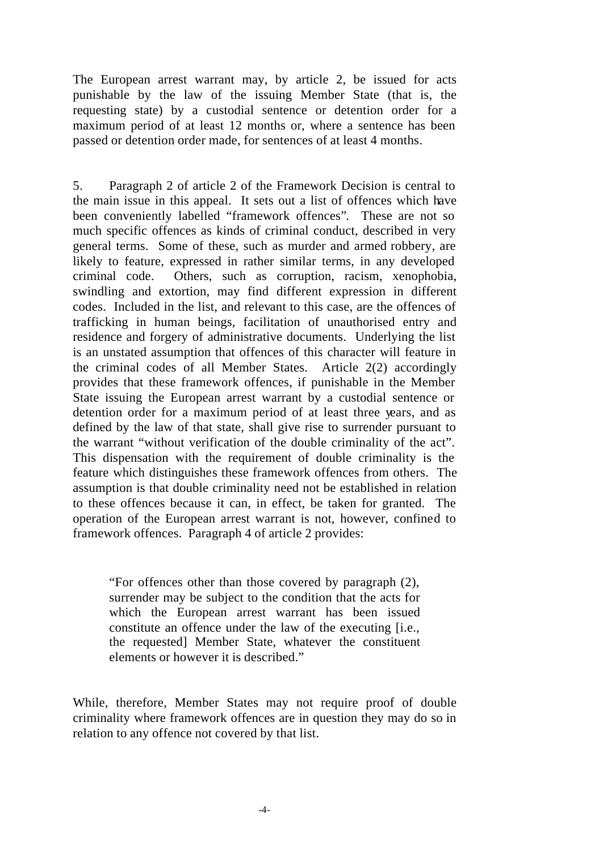The European arrest warrant may, by article 2, be issued for acts punishable by the law of the issuing Member State (that is, the requesting state) by a custodial sentence or detention order for a maximum period of at least 12 months or, where a sentence has been passed or detention order made, for sentences of at least 4 months.

5. Paragraph 2 of article 2 of the Framework Decision is central to the main issue in this appeal. It sets out a list of offences which have been conveniently labelled "framework offences". These are not so much specific offences as kinds of criminal conduct, described in very general terms. Some of these, such as murder and armed robbery, are likely to feature, expressed in rather similar terms, in any developed criminal code. Others, such as corruption, racism, xenophobia, swindling and extortion, may find different expression in different codes. Included in the list, and relevant to this case, are the offences of trafficking in human beings, facilitation of unauthorised entry and residence and forgery of administrative documents. Underlying the list is an unstated assumption that offences of this character will feature in the criminal codes of all Member States. Article 2(2) accordingly provides that these framework offences, if punishable in the Member State issuing the European arrest warrant by a custodial sentence or detention order for a maximum period of at least three years, and as defined by the law of that state, shall give rise to surrender pursuant to the warrant "without verification of the double criminality of the act". This dispensation with the requirement of double criminality is the feature which distinguishes these framework offences from others. The assumption is that double criminality need not be established in relation to these offences because it can, in effect, be taken for granted. The operation of the European arrest warrant is not, however, confined to framework offences. Paragraph 4 of article 2 provides:

"For offences other than those covered by paragraph (2), surrender may be subject to the condition that the acts for which the European arrest warrant has been issued constitute an offence under the law of the executing [i.e., the requested] Member State, whatever the constituent elements or however it is described."

While, therefore, Member States may not require proof of double criminality where framework offences are in question they may do so in relation to any offence not covered by that list.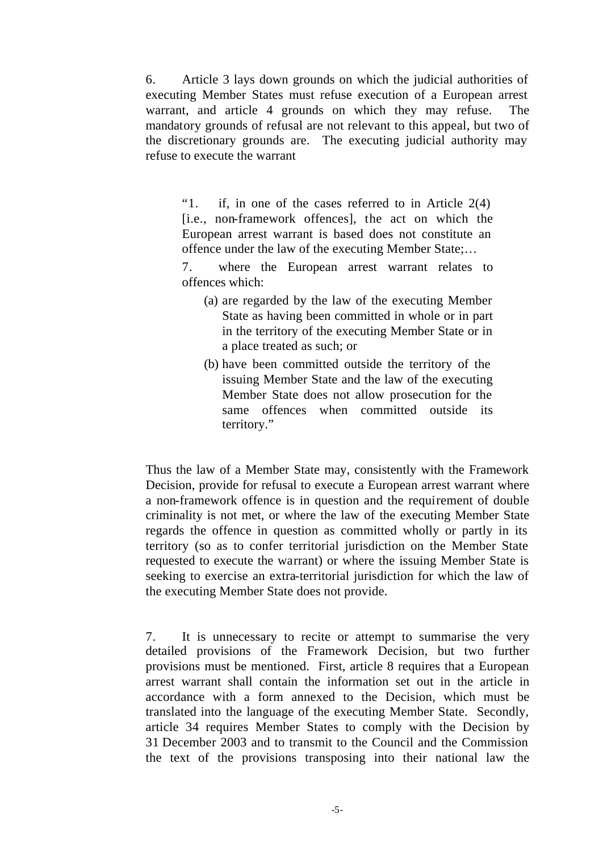6. Article 3 lays down grounds on which the judicial authorities of executing Member States must refuse execution of a European arrest warrant, and article 4 grounds on which they may refuse. The mandatory grounds of refusal are not relevant to this appeal, but two of the discretionary grounds are. The executing judicial authority may refuse to execute the warrant

"1. if, in one of the cases referred to in Article 2(4) [i.e., non-framework offences], the act on which the European arrest warrant is based does not constitute an offence under the law of the executing Member State;…

7. where the European arrest warrant relates to offences which:

- (a) are regarded by the law of the executing Member State as having been committed in whole or in part in the territory of the executing Member State or in a place treated as such; or
- (b) have been committed outside the territory of the issuing Member State and the law of the executing Member State does not allow prosecution for the same offences when committed outside its territory."

Thus the law of a Member State may, consistently with the Framework Decision, provide for refusal to execute a European arrest warrant where a non-framework offence is in question and the requirement of double criminality is not met, or where the law of the executing Member State regards the offence in question as committed wholly or partly in its territory (so as to confer territorial jurisdiction on the Member State requested to execute the warrant) or where the issuing Member State is seeking to exercise an extra-territorial jurisdiction for which the law of the executing Member State does not provide.

7. It is unnecessary to recite or attempt to summarise the very detailed provisions of the Framework Decision, but two further provisions must be mentioned. First, article 8 requires that a European arrest warrant shall contain the information set out in the article in accordance with a form annexed to the Decision, which must be translated into the language of the executing Member State. Secondly, article 34 requires Member States to comply with the Decision by 31 December 2003 and to transmit to the Council and the Commission the text of the provisions transposing into their national law the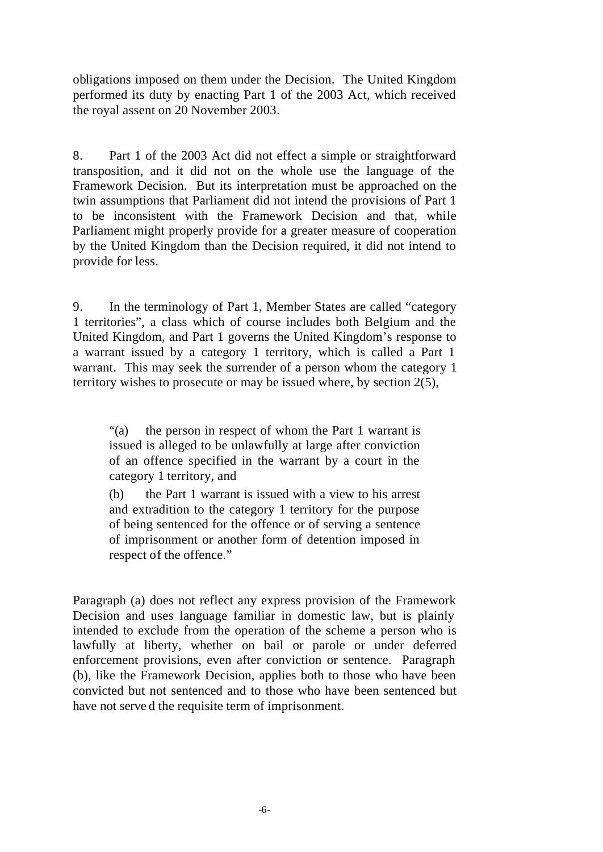obligations imposed on them under the Decision. The United Kingdom performed its duty by enacting Part 1 of the 2003 Act, which received the royal assent on 20 November 2003.

8. Part 1 of the 2003 Act did not effect a simple or straightforward transposition, and it did not on the whole use the language of the Framework Decision. But its interpretation must be approached on the twin assumptions that Parliament did not intend the provisions of Part 1 to be inconsistent with the Framework Decision and that, while Parliament might properly provide for a greater measure of cooperation by the United Kingdom than the Decision required, it did not intend to provide for less.

9. In the terminology of Part 1, Member States are called "category 1 territories", a class which of course includes both Belgium and the United Kingdom, and Part 1 governs the United Kingdom's response to a warrant issued by a category 1 territory, which is called a Part 1 warrant. This may seek the surrender of a person whom the category 1 territory wishes to prosecute or may be issued where, by section 2(5),

"(a) the person in respect of whom the Part 1 warrant is issued is alleged to be unlawfully at large after conviction of an offence specified in the warrant by a court in the category 1 territory, and

(b) the Part 1 warrant is issued with a view to his arrest and extradition to the category 1 territory for the purpose of being sentenced for the offence or of serving a sentence of imprisonment or another form of detention imposed in respect of the offence."

Paragraph (a) does not reflect any express provision of the Framework Decision and uses language familiar in domestic law, but is plainly intended to exclude from the operation of the scheme a person who is lawfully at liberty, whether on bail or parole or under deferred enforcement provisions, even after conviction or sentence. Paragraph (b), like the Framework Decision, applies both to those who have been convicted but not sentenced and to those who have been sentenced but have not serve d the requisite term of imprisonment.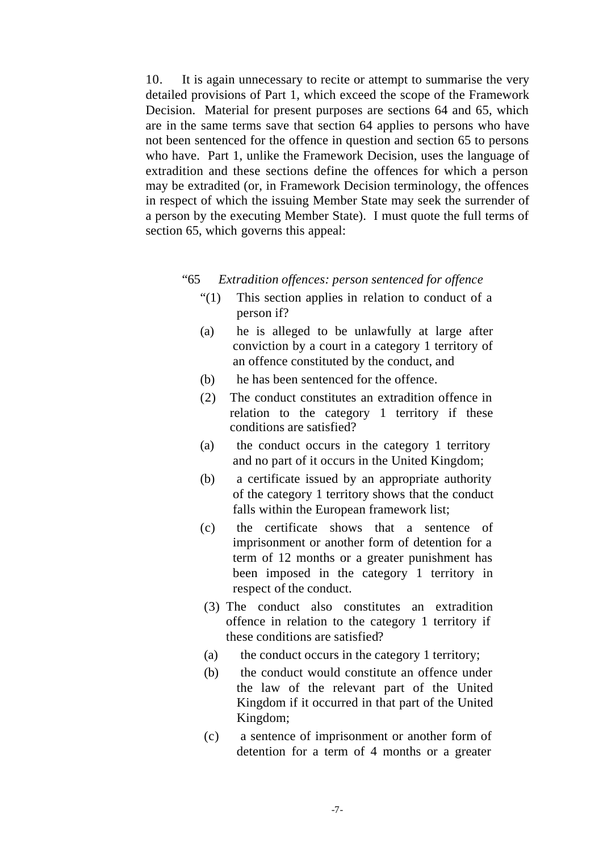10. It is again unnecessary to recite or attempt to summarise the very detailed provisions of Part 1, which exceed the scope of the Framework Decision. Material for present purposes are sections 64 and 65, which are in the same terms save that section 64 applies to persons who have not been sentenced for the offence in question and section 65 to persons who have. Part 1, unlike the Framework Decision, uses the language of extradition and these sections define the offences for which a person may be extradited (or, in Framework Decision terminology, the offences in respect of which the issuing Member State may seek the surrender of a person by the executing Member State). I must quote the full terms of section 65, which governs this appeal:

#### "65 *Extradition offences: person sentenced for offence*

- "(1) This section applies in relation to conduct of a person if?
- (a) he is alleged to be unlawfully at large after conviction by a court in a category 1 territory of an offence constituted by the conduct, and
- (b) he has been sentenced for the offence.
- (2) The conduct constitutes an extradition offence in relation to the category 1 territory if these conditions are satisfied?
- (a) the conduct occurs in the category 1 territory and no part of it occurs in the United Kingdom;
- (b) a certificate issued by an appropriate authority of the category 1 territory shows that the conduct falls within the European framework list;
- (c) the certificate shows that a sentence of imprisonment or another form of detention for a term of 12 months or a greater punishment has been imposed in the category 1 territory in respect of the conduct.
- (3) The conduct also constitutes an extradition offence in relation to the category 1 territory if these conditions are satisfied?
- (a) the conduct occurs in the category 1 territory;
- (b) the conduct would constitute an offence under the law of the relevant part of the United Kingdom if it occurred in that part of the United Kingdom;
- (c) a sentence of imprisonment or another form of detention for a term of 4 months or a greater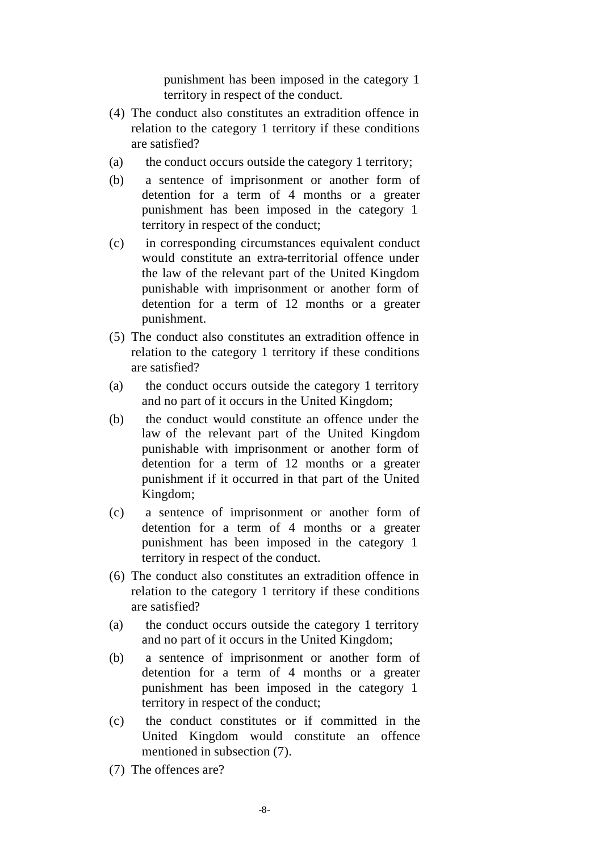punishment has been imposed in the category 1 territory in respect of the conduct.

- (4) The conduct also constitutes an extradition offence in relation to the category 1 territory if these conditions are satisfied?
- (a) the conduct occurs outside the category 1 territory;
- (b) a sentence of imprisonment or another form of detention for a term of 4 months or a greater punishment has been imposed in the category 1 territory in respect of the conduct;
- (c) in corresponding circumstances equivalent conduct would constitute an extra-territorial offence under the law of the relevant part of the United Kingdom punishable with imprisonment or another form of detention for a term of 12 months or a greater punishment.
- (5) The conduct also constitutes an extradition offence in relation to the category 1 territory if these conditions are satisfied?
- (a) the conduct occurs outside the category 1 territory and no part of it occurs in the United Kingdom;
- (b) the conduct would constitute an offence under the law of the relevant part of the United Kingdom punishable with imprisonment or another form of detention for a term of 12 months or a greater punishment if it occurred in that part of the United Kingdom;
- (c) a sentence of imprisonment or another form of detention for a term of 4 months or a greater punishment has been imposed in the category 1 territory in respect of the conduct.
- (6) The conduct also constitutes an extradition offence in relation to the category 1 territory if these conditions are satisfied?
- (a) the conduct occurs outside the category 1 territory and no part of it occurs in the United Kingdom;
- (b) a sentence of imprisonment or another form of detention for a term of 4 months or a greater punishment has been imposed in the category 1 territory in respect of the conduct;
- (c) the conduct constitutes or if committed in the United Kingdom would constitute an offence mentioned in subsection (7).
- (7) The offences are?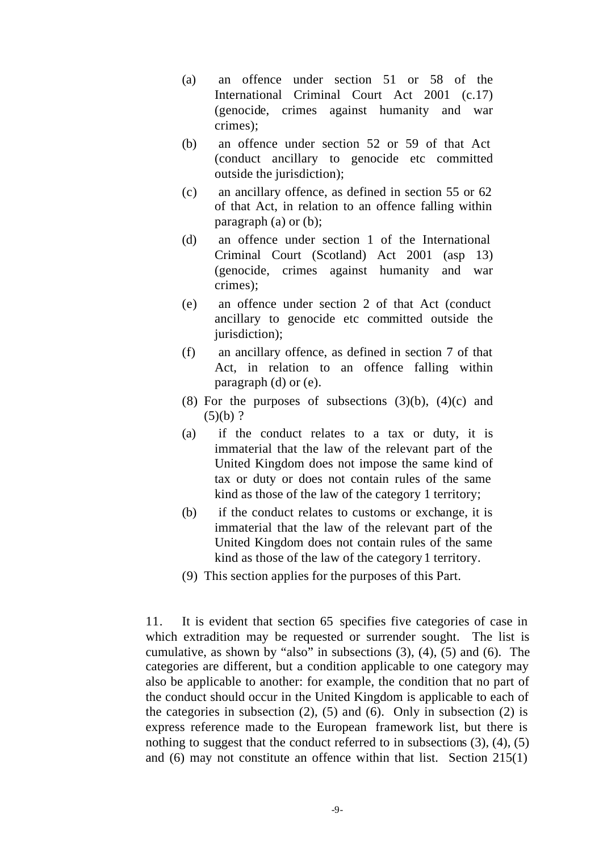- (a) an offence under section 51 or 58 of the International Criminal Court Act 2001 (c.17) (genocide, crimes against humanity and war crimes);
- (b) an offence under section 52 or 59 of that Act (conduct ancillary to genocide etc committed outside the jurisdiction);
- (c) an ancillary offence, as defined in section 55 or 62 of that Act, in relation to an offence falling within paragraph (a) or (b);
- (d) an offence under section 1 of the International Criminal Court (Scotland) Act 2001 (asp 13) (genocide, crimes against humanity and war crimes);
- (e) an offence under section 2 of that Act (conduct ancillary to genocide etc committed outside the jurisdiction);
- (f) an ancillary offence, as defined in section 7 of that Act, in relation to an offence falling within paragraph (d) or (e).
- (8) For the purposes of subsections  $(3)(b)$ ,  $(4)(c)$  and  $(5)(b)$ ?
- (a) if the conduct relates to a tax or duty, it is immaterial that the law of the relevant part of the United Kingdom does not impose the same kind of tax or duty or does not contain rules of the same kind as those of the law of the category 1 territory;
- (b) if the conduct relates to customs or exchange, it is immaterial that the law of the relevant part of the United Kingdom does not contain rules of the same kind as those of the law of the category 1 territory.
- (9) This section applies for the purposes of this Part.

11. It is evident that section 65 specifies five categories of case in which extradition may be requested or surrender sought. The list is cumulative, as shown by "also" in subsections (3), (4), (5) and (6). The categories are different, but a condition applicable to one category may also be applicable to another: for example, the condition that no part of the conduct should occur in the United Kingdom is applicable to each of the categories in subsection  $(2)$ ,  $(5)$  and  $(6)$ . Only in subsection  $(2)$  is express reference made to the European framework list, but there is nothing to suggest that the conduct referred to in subsections (3), (4), (5) and (6) may not constitute an offence within that list. Section 215(1)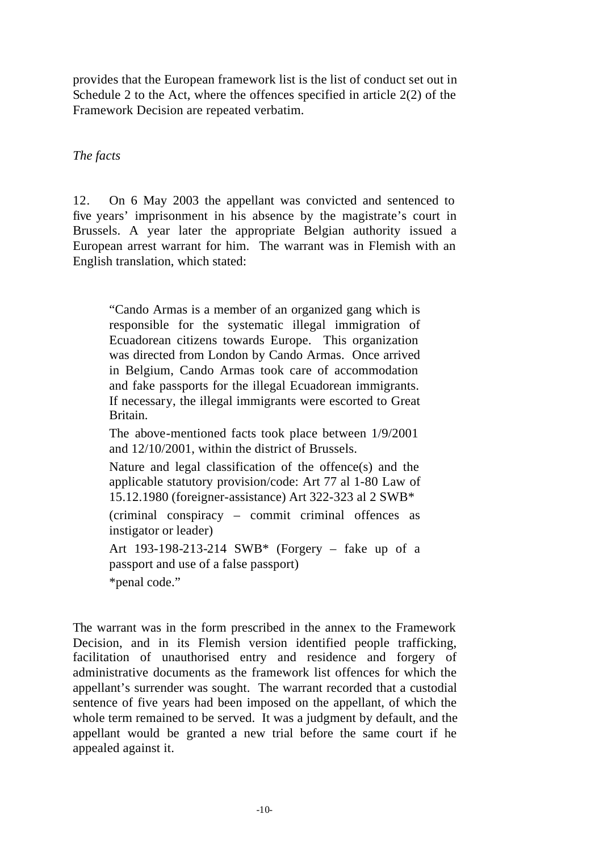provides that the European framework list is the list of conduct set out in Schedule 2 to the Act, where the offences specified in article 2(2) of the Framework Decision are repeated verbatim.

### *The facts*

12. On 6 May 2003 the appellant was convicted and sentenced to five years' imprisonment in his absence by the magistrate's court in Brussels. A year later the appropriate Belgian authority issued a European arrest warrant for him. The warrant was in Flemish with an English translation, which stated:

"Cando Armas is a member of an organized gang which is responsible for the systematic illegal immigration of Ecuadorean citizens towards Europe. This organization was directed from London by Cando Armas. Once arrived in Belgium, Cando Armas took care of accommodation and fake passports for the illegal Ecuadorean immigrants. If necessary, the illegal immigrants were escorted to Great Britain.

The above-mentioned facts took place between 1/9/2001 and 12/10/2001, within the district of Brussels.

Nature and legal classification of the offence(s) and the applicable statutory provision/code: Art 77 al 1-80 Law of 15.12.1980 (foreigner-assistance) Art 322-323 al 2 SWB\*

(criminal conspiracy – commit criminal offences as instigator or leader)

Art 193-198-213-214 SWB\* (Forgery – fake up of a passport and use of a false passport) \*penal code."

The warrant was in the form prescribed in the annex to the Framework Decision, and in its Flemish version identified people trafficking, facilitation of unauthorised entry and residence and forgery of administrative documents as the framework list offences for which the appellant's surrender was sought. The warrant recorded that a custodial sentence of five years had been imposed on the appellant, of which the whole term remained to be served. It was a judgment by default, and the appellant would be granted a new trial before the same court if he appealed against it.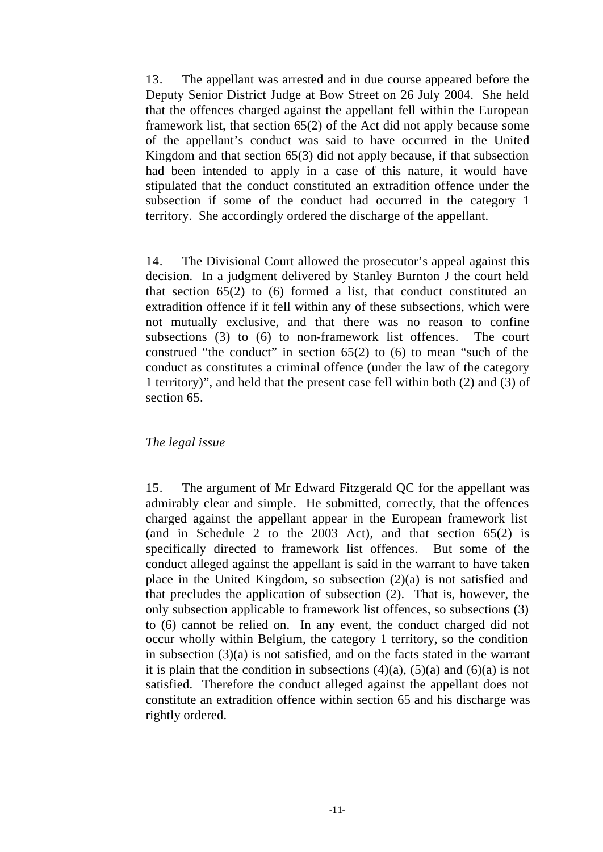13. The appellant was arrested and in due course appeared before the Deputy Senior District Judge at Bow Street on 26 July 2004. She held that the offences charged against the appellant fell within the European framework list, that section 65(2) of the Act did not apply because some of the appellant's conduct was said to have occurred in the United Kingdom and that section 65(3) did not apply because, if that subsection had been intended to apply in a case of this nature, it would have stipulated that the conduct constituted an extradition offence under the subsection if some of the conduct had occurred in the category 1 territory. She accordingly ordered the discharge of the appellant.

14. The Divisional Court allowed the prosecutor's appeal against this decision. In a judgment delivered by Stanley Burnton J the court held that section 65(2) to (6) formed a list, that conduct constituted an extradition offence if it fell within any of these subsections, which were not mutually exclusive, and that there was no reason to confine subsections (3) to (6) to non-framework list offences. The court construed "the conduct" in section 65(2) to (6) to mean "such of the conduct as constitutes a criminal offence (under the law of the category 1 territory)", and held that the present case fell within both (2) and (3) of section 65.

### *The legal issue*

15. The argument of Mr Edward Fitzgerald QC for the appellant was admirably clear and simple. He submitted, correctly, that the offences charged against the appellant appear in the European framework list (and in Schedule 2 to the 2003 Act), and that section 65(2) is specifically directed to framework list offences. But some of the conduct alleged against the appellant is said in the warrant to have taken place in the United Kingdom, so subsection (2)(a) is not satisfied and that precludes the application of subsection (2). That is, however, the only subsection applicable to framework list offences, so subsections (3) to (6) cannot be relied on. In any event, the conduct charged did not occur wholly within Belgium, the category 1 territory, so the condition in subsection (3)(a) is not satisfied, and on the facts stated in the warrant it is plain that the condition in subsections  $(4)(a)$ ,  $(5)(a)$  and  $(6)(a)$  is not satisfied. Therefore the conduct alleged against the appellant does not constitute an extradition offence within section 65 and his discharge was rightly ordered.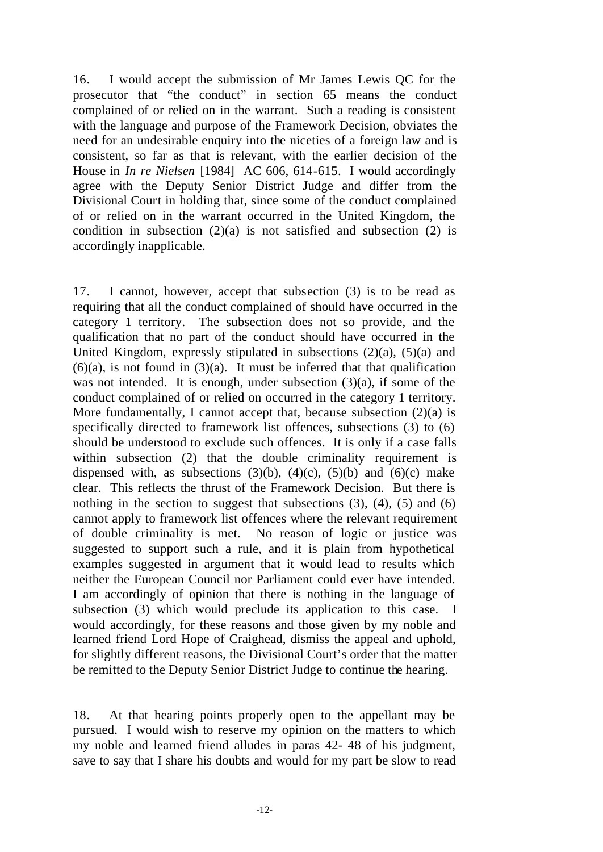16. I would accept the submission of Mr James Lewis QC for the prosecutor that "the conduct" in section 65 means the conduct complained of or relied on in the warrant. Such a reading is consistent with the language and purpose of the Framework Decision, obviates the need for an undesirable enquiry into the niceties of a foreign law and is consistent, so far as that is relevant, with the earlier decision of the House in *In re Nielsen* [1984] AC 606, 614-615. I would accordingly agree with the Deputy Senior District Judge and differ from the Divisional Court in holding that, since some of the conduct complained of or relied on in the warrant occurred in the United Kingdom, the condition in subsection  $(2)(a)$  is not satisfied and subsection  $(2)$  is accordingly inapplicable.

17. I cannot, however, accept that subsection (3) is to be read as requiring that all the conduct complained of should have occurred in the category 1 territory. The subsection does not so provide, and the qualification that no part of the conduct should have occurred in the United Kingdom, expressly stipulated in subsections  $(2)(a)$ ,  $(5)(a)$  and  $(6)(a)$ , is not found in  $(3)(a)$ . It must be inferred that that qualification was not intended. It is enough, under subsection  $(3)(a)$ , if some of the conduct complained of or relied on occurred in the category 1 territory. More fundamentally, I cannot accept that, because subsection  $(2)(a)$  is specifically directed to framework list offences, subsections (3) to (6) should be understood to exclude such offences. It is only if a case falls within subsection (2) that the double criminality requirement is dispensed with, as subsections  $(3)(b)$ ,  $(4)(c)$ ,  $(5)(b)$  and  $(6)(c)$  make clear. This reflects the thrust of the Framework Decision. But there is nothing in the section to suggest that subsections  $(3)$ ,  $(4)$ ,  $(5)$  and  $(6)$ cannot apply to framework list offences where the relevant requirement of double criminality is met. No reason of logic or justice was suggested to support such a rule, and it is plain from hypothetical examples suggested in argument that it would lead to results which neither the European Council nor Parliament could ever have intended. I am accordingly of opinion that there is nothing in the language of subsection (3) which would preclude its application to this case. I would accordingly, for these reasons and those given by my noble and learned friend Lord Hope of Craighead, dismiss the appeal and uphold, for slightly different reasons, the Divisional Court's order that the matter be remitted to the Deputy Senior District Judge to continue the hearing.

18. At that hearing points properly open to the appellant may be pursued. I would wish to reserve my opinion on the matters to which my noble and learned friend alludes in paras 42- 48 of his judgment, save to say that I share his doubts and would for my part be slow to read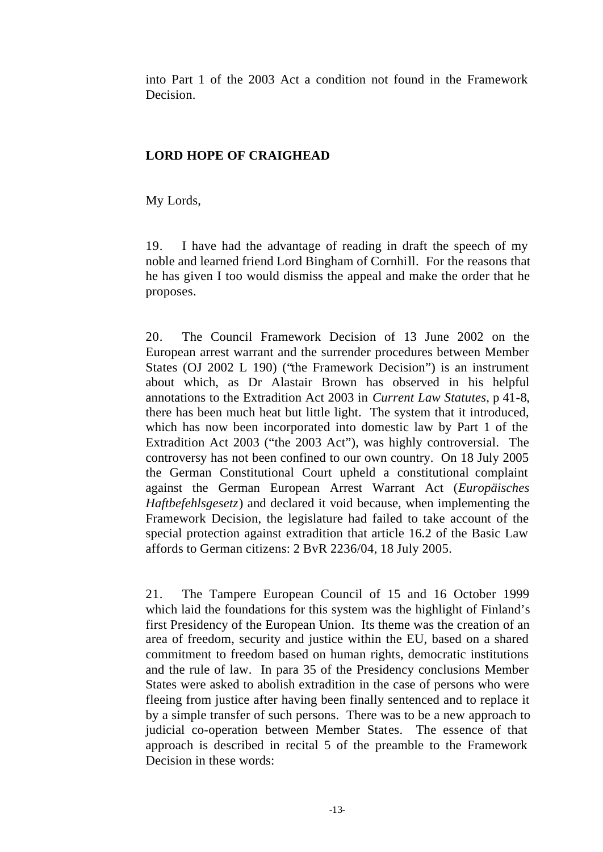into Part 1 of the 2003 Act a condition not found in the Framework Decision.

### **LORD HOPE OF CRAIGHEAD**

My Lords,

19. I have had the advantage of reading in draft the speech of my noble and learned friend Lord Bingham of Cornhill. For the reasons that he has given I too would dismiss the appeal and make the order that he proposes.

20. The Council Framework Decision of 13 June 2002 on the European arrest warrant and the surrender procedures between Member States (OJ 2002 L 190) ("the Framework Decision") is an instrument about which, as Dr Alastair Brown has observed in his helpful annotations to the Extradition Act 2003 in *Current Law Statutes*, p 41-8, there has been much heat but little light. The system that it introduced, which has now been incorporated into domestic law by Part 1 of the Extradition Act 2003 ("the 2003 Act"), was highly controversial. The controversy has not been confined to our own country. On 18 July 2005 the German Constitutional Court upheld a constitutional complaint against the German European Arrest Warrant Act (*Europäisches Haftbefehlsgesetz*) and declared it void because, when implementing the Framework Decision, the legislature had failed to take account of the special protection against extradition that article 16.2 of the Basic Law affords to German citizens: 2 BvR 2236/04, 18 July 2005.

21. The Tampere European Council of 15 and 16 October 1999 which laid the foundations for this system was the highlight of Finland's first Presidency of the European Union. Its theme was the creation of an area of freedom, security and justice within the EU, based on a shared commitment to freedom based on human rights, democratic institutions and the rule of law. In para 35 of the Presidency conclusions Member States were asked to abolish extradition in the case of persons who were fleeing from justice after having been finally sentenced and to replace it by a simple transfer of such persons. There was to be a new approach to judicial co-operation between Member States. The essence of that approach is described in recital 5 of the preamble to the Framework Decision in these words: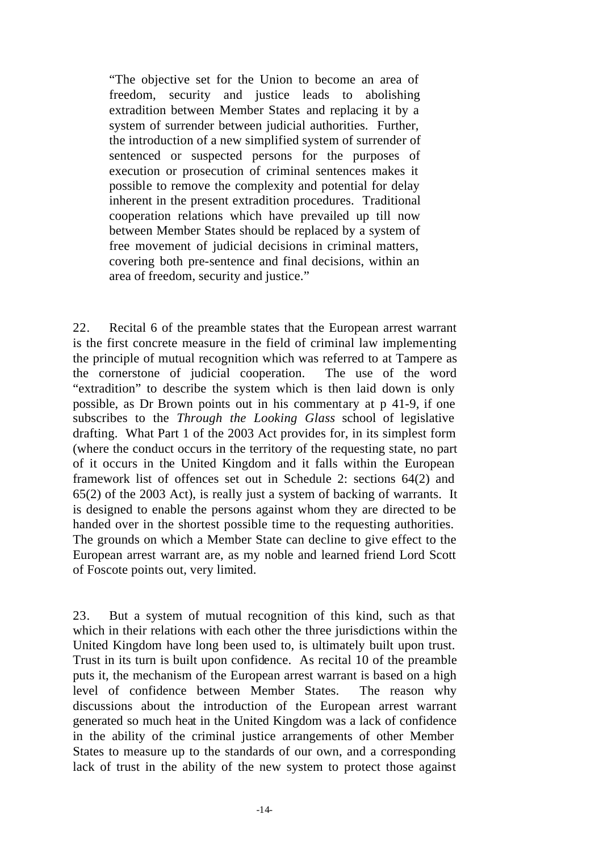"The objective set for the Union to become an area of freedom, security and justice leads to abolishing extradition between Member States and replacing it by a system of surrender between judicial authorities. Further, the introduction of a new simplified system of surrender of sentenced or suspected persons for the purposes of execution or prosecution of criminal sentences makes it possible to remove the complexity and potential for delay inherent in the present extradition procedures. Traditional cooperation relations which have prevailed up till now between Member States should be replaced by a system of free movement of judicial decisions in criminal matters, covering both pre-sentence and final decisions, within an area of freedom, security and justice."

22. Recital 6 of the preamble states that the European arrest warrant is the first concrete measure in the field of criminal law implementing the principle of mutual recognition which was referred to at Tampere as the cornerstone of judicial cooperation. The use of the word "extradition" to describe the system which is then laid down is only possible, as Dr Brown points out in his commentary at p 41-9, if one subscribes to the *Through the Looking Glass* school of legislative drafting. What Part 1 of the 2003 Act provides for, in its simplest form (where the conduct occurs in the territory of the requesting state, no part of it occurs in the United Kingdom and it falls within the European framework list of offences set out in Schedule 2: sections 64(2) and 65(2) of the 2003 Act), is really just a system of backing of warrants. It is designed to enable the persons against whom they are directed to be handed over in the shortest possible time to the requesting authorities. The grounds on which a Member State can decline to give effect to the European arrest warrant are, as my noble and learned friend Lord Scott of Foscote points out, very limited.

23. But a system of mutual recognition of this kind, such as that which in their relations with each other the three jurisdictions within the United Kingdom have long been used to, is ultimately built upon trust. Trust in its turn is built upon confidence. As recital 10 of the preamble puts it, the mechanism of the European arrest warrant is based on a high level of confidence between Member States. The reason why discussions about the introduction of the European arrest warrant generated so much heat in the United Kingdom was a lack of confidence in the ability of the criminal justice arrangements of other Member States to measure up to the standards of our own, and a corresponding lack of trust in the ability of the new system to protect those against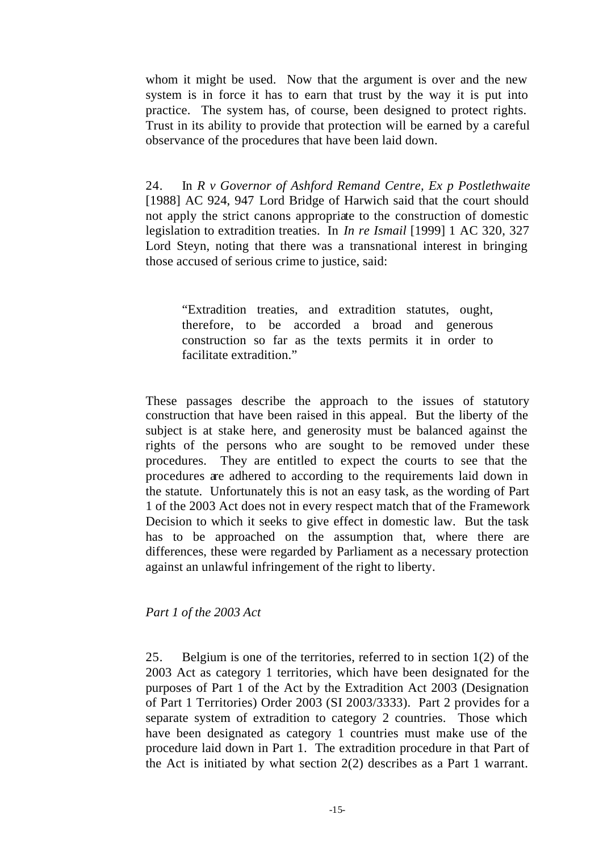whom it might be used. Now that the argument is over and the new system is in force it has to earn that trust by the way it is put into practice. The system has, of course, been designed to protect rights. Trust in its ability to provide that protection will be earned by a careful observance of the procedures that have been laid down.

24. In *R v Governor of Ashford Remand Centre, Ex p Postlethwaite* [1988] AC 924, 947 Lord Bridge of Harwich said that the court should not apply the strict canons appropriate to the construction of domestic legislation to extradition treaties. In *In re Ismail* [1999] 1 AC 320, 327 Lord Steyn, noting that there was a transnational interest in bringing those accused of serious crime to justice, said:

"Extradition treaties, and extradition statutes, ought, therefore, to be accorded a broad and generous construction so far as the texts permits it in order to facilitate extradition."

These passages describe the approach to the issues of statutory construction that have been raised in this appeal. But the liberty of the subject is at stake here, and generosity must be balanced against the rights of the persons who are sought to be removed under these procedures. They are entitled to expect the courts to see that the procedures are adhered to according to the requirements laid down in the statute. Unfortunately this is not an easy task, as the wording of Part 1 of the 2003 Act does not in every respect match that of the Framework Decision to which it seeks to give effect in domestic law. But the task has to be approached on the assumption that, where there are differences, these were regarded by Parliament as a necessary protection against an unlawful infringement of the right to liberty.

### *Part 1 of the 2003 Act*

25. Belgium is one of the territories, referred to in section 1(2) of the 2003 Act as category 1 territories, which have been designated for the purposes of Part 1 of the Act by the Extradition Act 2003 (Designation of Part 1 Territories) Order 2003 (SI 2003/3333). Part 2 provides for a separate system of extradition to category 2 countries. Those which have been designated as category 1 countries must make use of the procedure laid down in Part 1. The extradition procedure in that Part of the Act is initiated by what section 2(2) describes as a Part 1 warrant.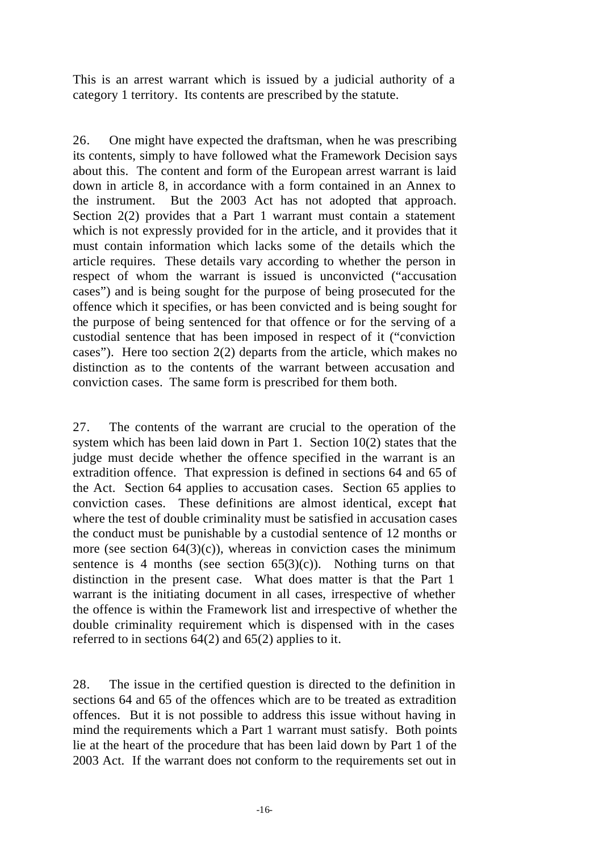This is an arrest warrant which is issued by a judicial authority of a category 1 territory. Its contents are prescribed by the statute.

26. One might have expected the draftsman, when he was prescribing its contents, simply to have followed what the Framework Decision says about this. The content and form of the European arrest warrant is laid down in article 8, in accordance with a form contained in an Annex to the instrument. But the 2003 Act has not adopted that approach. Section 2(2) provides that a Part 1 warrant must contain a statement which is not expressly provided for in the article, and it provides that it must contain information which lacks some of the details which the article requires. These details vary according to whether the person in respect of whom the warrant is issued is unconvicted ("accusation cases") and is being sought for the purpose of being prosecuted for the offence which it specifies, or has been convicted and is being sought for the purpose of being sentenced for that offence or for the serving of a custodial sentence that has been imposed in respect of it ("conviction cases"). Here too section 2(2) departs from the article, which makes no distinction as to the contents of the warrant between accusation and conviction cases. The same form is prescribed for them both.

27. The contents of the warrant are crucial to the operation of the system which has been laid down in Part 1. Section 10(2) states that the judge must decide whether the offence specified in the warrant is an extradition offence. That expression is defined in sections 64 and 65 of the Act. Section 64 applies to accusation cases. Section 65 applies to conviction cases. These definitions are almost identical, except that where the test of double criminality must be satisfied in accusation cases the conduct must be punishable by a custodial sentence of 12 months or more (see section  $64(3)(c)$ ), whereas in conviction cases the minimum sentence is 4 months (see section  $65(3)(c)$ ). Nothing turns on that distinction in the present case. What does matter is that the Part 1 warrant is the initiating document in all cases, irrespective of whether the offence is within the Framework list and irrespective of whether the double criminality requirement which is dispensed with in the cases referred to in sections  $64(2)$  and  $65(2)$  applies to it.

28. The issue in the certified question is directed to the definition in sections 64 and 65 of the offences which are to be treated as extradition offences. But it is not possible to address this issue without having in mind the requirements which a Part 1 warrant must satisfy. Both points lie at the heart of the procedure that has been laid down by Part 1 of the 2003 Act. If the warrant does not conform to the requirements set out in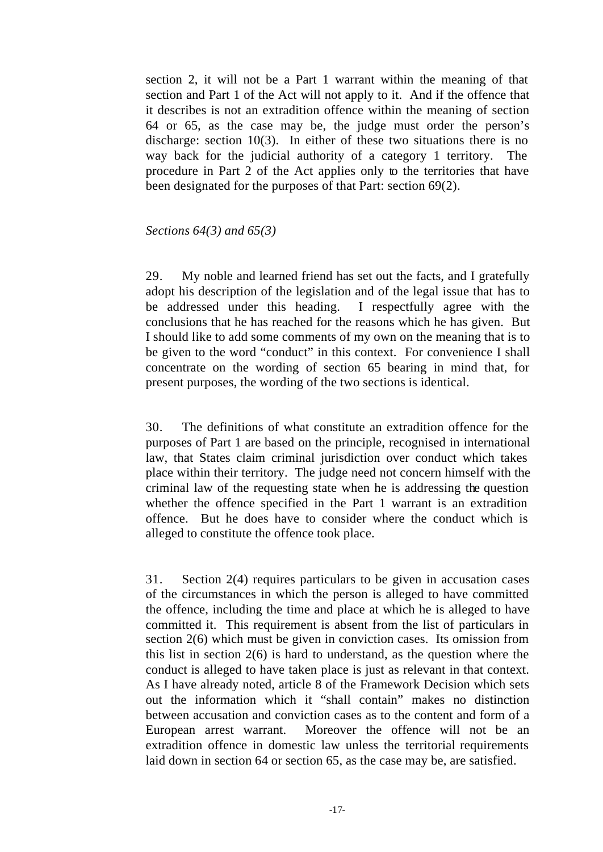section 2, it will not be a Part 1 warrant within the meaning of that section and Part 1 of the Act will not apply to it. And if the offence that it describes is not an extradition offence within the meaning of section 64 or 65, as the case may be, the judge must order the person's discharge: section 10(3). In either of these two situations there is no way back for the judicial authority of a category 1 territory. The procedure in Part 2 of the Act applies only to the territories that have been designated for the purposes of that Part: section 69(2).

#### *Sections 64(3) and 65(3)*

29. My noble and learned friend has set out the facts, and I gratefully adopt his description of the legislation and of the legal issue that has to be addressed under this heading. I respectfully agree with the conclusions that he has reached for the reasons which he has given. But I should like to add some comments of my own on the meaning that is to be given to the word "conduct" in this context. For convenience I shall concentrate on the wording of section 65 bearing in mind that, for present purposes, the wording of the two sections is identical.

30. The definitions of what constitute an extradition offence for the purposes of Part 1 are based on the principle, recognised in international law, that States claim criminal jurisdiction over conduct which takes place within their territory. The judge need not concern himself with the criminal law of the requesting state when he is addressing the question whether the offence specified in the Part 1 warrant is an extradition offence. But he does have to consider where the conduct which is alleged to constitute the offence took place.

31. Section 2(4) requires particulars to be given in accusation cases of the circumstances in which the person is alleged to have committed the offence, including the time and place at which he is alleged to have committed it. This requirement is absent from the list of particulars in section 2(6) which must be given in conviction cases. Its omission from this list in section 2(6) is hard to understand, as the question where the conduct is alleged to have taken place is just as relevant in that context. As I have already noted, article 8 of the Framework Decision which sets out the information which it "shall contain" makes no distinction between accusation and conviction cases as to the content and form of a European arrest warrant. Moreover the offence will not be an extradition offence in domestic law unless the territorial requirements laid down in section 64 or section 65, as the case may be, are satisfied.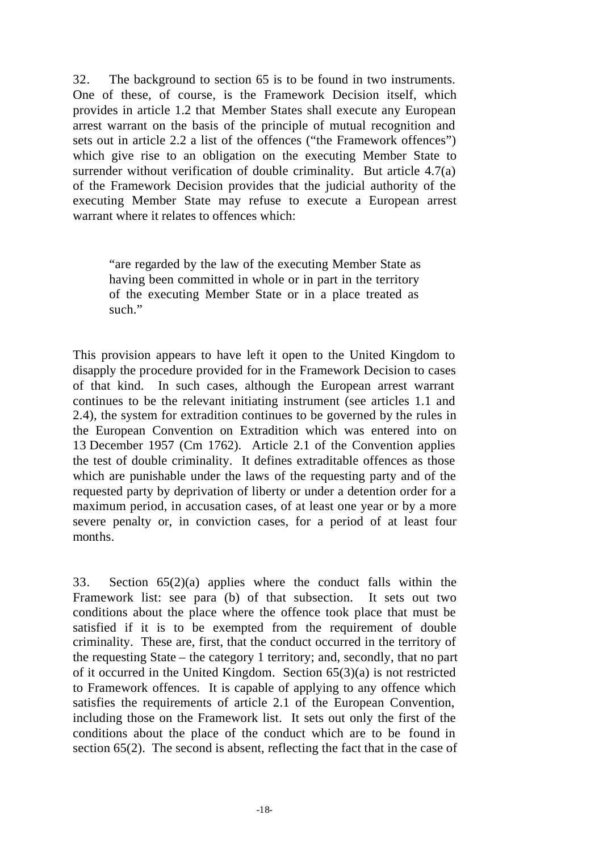32. The background to section 65 is to be found in two instruments. One of these, of course, is the Framework Decision itself, which provides in article 1.2 that Member States shall execute any European arrest warrant on the basis of the principle of mutual recognition and sets out in article 2.2 a list of the offences ("the Framework offences") which give rise to an obligation on the executing Member State to surrender without verification of double criminality. But article 4.7(a) of the Framework Decision provides that the judicial authority of the executing Member State may refuse to execute a European arrest warrant where it relates to offences which:

"are regarded by the law of the executing Member State as having been committed in whole or in part in the territory of the executing Member State or in a place treated as such."

This provision appears to have left it open to the United Kingdom to disapply the procedure provided for in the Framework Decision to cases of that kind. In such cases, although the European arrest warrant continues to be the relevant initiating instrument (see articles 1.1 and 2.4), the system for extradition continues to be governed by the rules in the European Convention on Extradition which was entered into on 13 December 1957 (Cm 1762). Article 2.1 of the Convention applies the test of double criminality. It defines extraditable offences as those which are punishable under the laws of the requesting party and of the requested party by deprivation of liberty or under a detention order for a maximum period, in accusation cases, of at least one year or by a more severe penalty or, in conviction cases, for a period of at least four months.

33. Section 65(2)(a) applies where the conduct falls within the Framework list: see para (b) of that subsection. It sets out two conditions about the place where the offence took place that must be satisfied if it is to be exempted from the requirement of double criminality. These are, first, that the conduct occurred in the territory of the requesting State – the category 1 territory; and, secondly, that no part of it occurred in the United Kingdom. Section 65(3)(a) is not restricted to Framework offences. It is capable of applying to any offence which satisfies the requirements of article 2.1 of the European Convention, including those on the Framework list. It sets out only the first of the conditions about the place of the conduct which are to be found in section 65(2). The second is absent, reflecting the fact that in the case of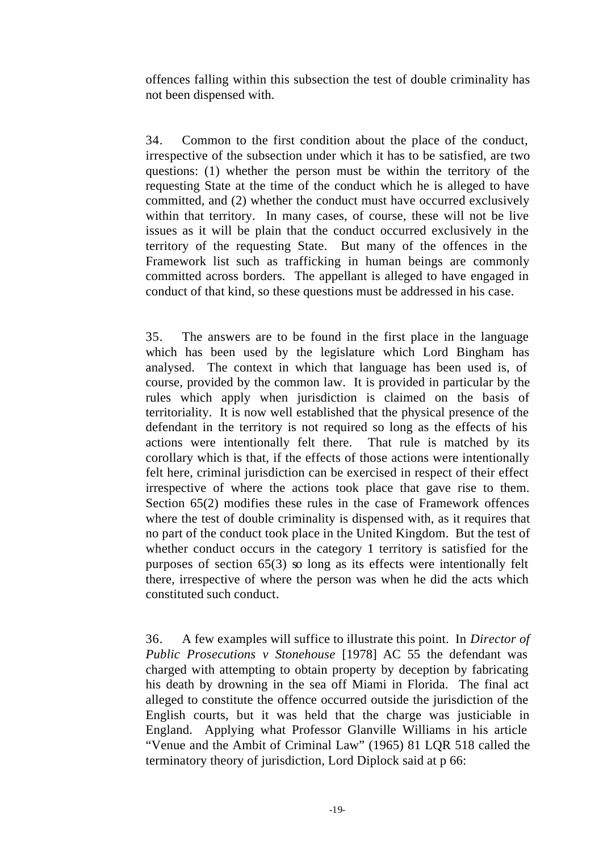offences falling within this subsection the test of double criminality has not been dispensed with.

34. Common to the first condition about the place of the conduct, irrespective of the subsection under which it has to be satisfied, are two questions: (1) whether the person must be within the territory of the requesting State at the time of the conduct which he is alleged to have committed, and (2) whether the conduct must have occurred exclusively within that territory. In many cases, of course, these will not be live issues as it will be plain that the conduct occurred exclusively in the territory of the requesting State. But many of the offences in the Framework list such as trafficking in human beings are commonly committed across borders. The appellant is alleged to have engaged in conduct of that kind, so these questions must be addressed in his case.

35. The answers are to be found in the first place in the language which has been used by the legislature which Lord Bingham has analysed. The context in which that language has been used is, of course, provided by the common law. It is provided in particular by the rules which apply when jurisdiction is claimed on the basis of territoriality. It is now well established that the physical presence of the defendant in the territory is not required so long as the effects of his actions were intentionally felt there. That rule is matched by its corollary which is that, if the effects of those actions were intentionally felt here, criminal jurisdiction can be exercised in respect of their effect irrespective of where the actions took place that gave rise to them. Section 65(2) modifies these rules in the case of Framework offences where the test of double criminality is dispensed with, as it requires that no part of the conduct took place in the United Kingdom. But the test of whether conduct occurs in the category 1 territory is satisfied for the purposes of section 65(3) so long as its effects were intentionally felt there, irrespective of where the person was when he did the acts which constituted such conduct.

36. A few examples will suffice to illustrate this point. In *Director of Public Prosecutions v Stonehouse* [1978] AC 55 the defendant was charged with attempting to obtain property by deception by fabricating his death by drowning in the sea off Miami in Florida. The final act alleged to constitute the offence occurred outside the jurisdiction of the English courts, but it was held that the charge was justiciable in England. Applying what Professor Glanville Williams in his article "Venue and the Ambit of Criminal Law" (1965) 81 LQR 518 called the terminatory theory of jurisdiction, Lord Diplock said at p 66: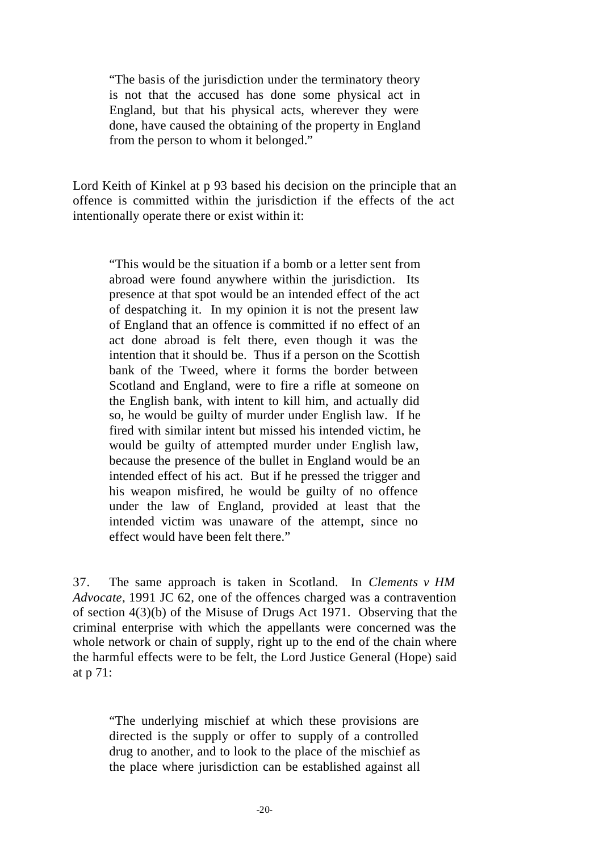"The basis of the jurisdiction under the terminatory theory is not that the accused has done some physical act in England, but that his physical acts, wherever they were done, have caused the obtaining of the property in England from the person to whom it belonged."

Lord Keith of Kinkel at p 93 based his decision on the principle that an offence is committed within the jurisdiction if the effects of the act intentionally operate there or exist within it:

"This would be the situation if a bomb or a letter sent from abroad were found anywhere within the jurisdiction. Its presence at that spot would be an intended effect of the act of despatching it. In my opinion it is not the present law of England that an offence is committed if no effect of an act done abroad is felt there, even though it was the intention that it should be. Thus if a person on the Scottish bank of the Tweed, where it forms the border between Scotland and England, were to fire a rifle at someone on the English bank, with intent to kill him, and actually did so, he would be guilty of murder under English law. If he fired with similar intent but missed his intended victim, he would be guilty of attempted murder under English law, because the presence of the bullet in England would be an intended effect of his act. But if he pressed the trigger and his weapon misfired, he would be guilty of no offence under the law of England, provided at least that the intended victim was unaware of the attempt, since no effect would have been felt there."

37. The same approach is taken in Scotland. In *Clements v HM Advocate*, 1991 JC 62, one of the offences charged was a contravention of section 4(3)(b) of the Misuse of Drugs Act 1971. Observing that the criminal enterprise with which the appellants were concerned was the whole network or chain of supply, right up to the end of the chain where the harmful effects were to be felt, the Lord Justice General (Hope) said at p 71:

"The underlying mischief at which these provisions are directed is the supply or offer to supply of a controlled drug to another, and to look to the place of the mischief as the place where jurisdiction can be established against all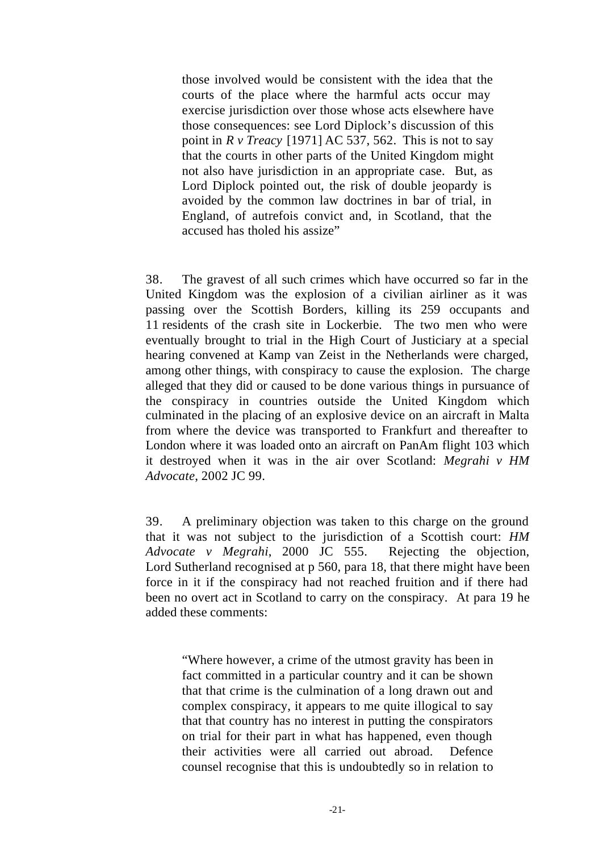those involved would be consistent with the idea that the courts of the place where the harmful acts occur may exercise jurisdiction over those whose acts elsewhere have those consequences: see Lord Diplock's discussion of this point in *R v Treacy* [1971] AC 537, 562. This is not to say that the courts in other parts of the United Kingdom might not also have jurisdiction in an appropriate case. But, as Lord Diplock pointed out, the risk of double jeopardy is avoided by the common law doctrines in bar of trial, in England, of autrefois convict and, in Scotland, that the accused has tholed his assize"

38. The gravest of all such crimes which have occurred so far in the United Kingdom was the explosion of a civilian airliner as it was passing over the Scottish Borders, killing its 259 occupants and 11 residents of the crash site in Lockerbie. The two men who were eventually brought to trial in the High Court of Justiciary at a special hearing convened at Kamp van Zeist in the Netherlands were charged, among other things, with conspiracy to cause the explosion. The charge alleged that they did or caused to be done various things in pursuance of the conspiracy in countries outside the United Kingdom which culminated in the placing of an explosive device on an aircraft in Malta from where the device was transported to Frankfurt and thereafter to London where it was loaded onto an aircraft on PanAm flight 103 which it destroyed when it was in the air over Scotland: *Megrahi v HM Advocate*, 2002 JC 99.

39. A preliminary objection was taken to this charge on the ground that it was not subject to the jurisdiction of a Scottish court: *HM Advocate v Megrahi*, 2000 JC 555. Rejecting the objection, Lord Sutherland recognised at p 560, para 18, that there might have been force in it if the conspiracy had not reached fruition and if there had been no overt act in Scotland to carry on the conspiracy. At para 19 he added these comments:

"Where however, a crime of the utmost gravity has been in fact committed in a particular country and it can be shown that that crime is the culmination of a long drawn out and complex conspiracy, it appears to me quite illogical to say that that country has no interest in putting the conspirators on trial for their part in what has happened, even though their activities were all carried out abroad. Defence counsel recognise that this is undoubtedly so in relation to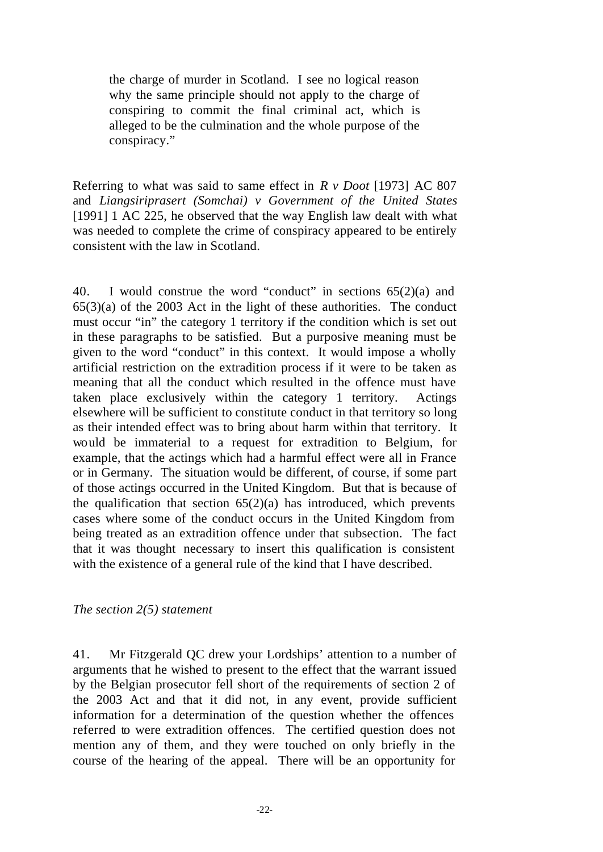the charge of murder in Scotland. I see no logical reason why the same principle should not apply to the charge of conspiring to commit the final criminal act, which is alleged to be the culmination and the whole purpose of the conspiracy."

Referring to what was said to same effect in *R v Doot* [1973] AC 807 and *Liangsiriprasert (Somchai) v Government of the United States* [1991] 1 AC 225, he observed that the way English law dealt with what was needed to complete the crime of conspiracy appeared to be entirely consistent with the law in Scotland.

40. I would construe the word "conduct" in sections 65(2)(a) and  $65(3)(a)$  of the 2003 Act in the light of these authorities. The conduct must occur "in" the category 1 territory if the condition which is set out in these paragraphs to be satisfied. But a purposive meaning must be given to the word "conduct" in this context. It would impose a wholly artificial restriction on the extradition process if it were to be taken as meaning that all the conduct which resulted in the offence must have taken place exclusively within the category 1 territory. Actings elsewhere will be sufficient to constitute conduct in that territory so long as their intended effect was to bring about harm within that territory. It would be immaterial to a request for extradition to Belgium, for example, that the actings which had a harmful effect were all in France or in Germany. The situation would be different, of course, if some part of those actings occurred in the United Kingdom. But that is because of the qualification that section  $65(2)(a)$  has introduced, which prevents cases where some of the conduct occurs in the United Kingdom from being treated as an extradition offence under that subsection. The fact that it was thought necessary to insert this qualification is consistent with the existence of a general rule of the kind that I have described.

### *The section 2(5) statement*

41. Mr Fitzgerald QC drew your Lordships' attention to a number of arguments that he wished to present to the effect that the warrant issued by the Belgian prosecutor fell short of the requirements of section 2 of the 2003 Act and that it did not, in any event, provide sufficient information for a determination of the question whether the offences referred to were extradition offences. The certified question does not mention any of them, and they were touched on only briefly in the course of the hearing of the appeal. There will be an opportunity for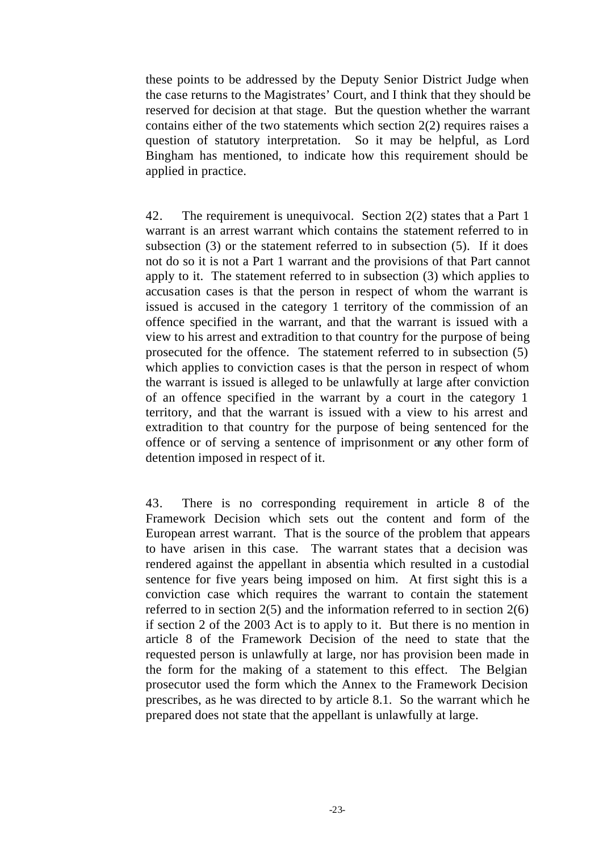these points to be addressed by the Deputy Senior District Judge when the case returns to the Magistrates' Court, and I think that they should be reserved for decision at that stage. But the question whether the warrant contains either of the two statements which section  $2(2)$  requires raises a question of statutory interpretation. So it may be helpful, as Lord Bingham has mentioned, to indicate how this requirement should be applied in practice.

42. The requirement is unequivocal. Section 2(2) states that a Part 1 warrant is an arrest warrant which contains the statement referred to in subsection (3) or the statement referred to in subsection (5). If it does not do so it is not a Part 1 warrant and the provisions of that Part cannot apply to it. The statement referred to in subsection (3) which applies to accusation cases is that the person in respect of whom the warrant is issued is accused in the category 1 territory of the commission of an offence specified in the warrant, and that the warrant is issued with a view to his arrest and extradition to that country for the purpose of being prosecuted for the offence. The statement referred to in subsection (5) which applies to conviction cases is that the person in respect of whom the warrant is issued is alleged to be unlawfully at large after conviction of an offence specified in the warrant by a court in the category 1 territory, and that the warrant is issued with a view to his arrest and extradition to that country for the purpose of being sentenced for the offence or of serving a sentence of imprisonment or any other form of detention imposed in respect of it.

43. There is no corresponding requirement in article 8 of the Framework Decision which sets out the content and form of the European arrest warrant. That is the source of the problem that appears to have arisen in this case. The warrant states that a decision was rendered against the appellant in absentia which resulted in a custodial sentence for five years being imposed on him. At first sight this is a conviction case which requires the warrant to contain the statement referred to in section 2(5) and the information referred to in section 2(6) if section 2 of the 2003 Act is to apply to it. But there is no mention in article 8 of the Framework Decision of the need to state that the requested person is unlawfully at large, nor has provision been made in the form for the making of a statement to this effect. The Belgian prosecutor used the form which the Annex to the Framework Decision prescribes, as he was directed to by article 8.1. So the warrant which he prepared does not state that the appellant is unlawfully at large.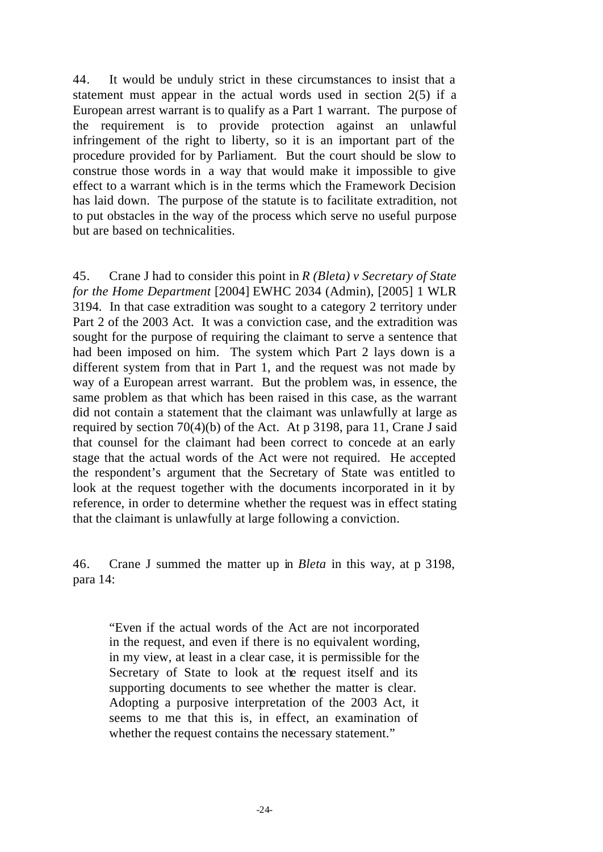44. It would be unduly strict in these circumstances to insist that a statement must appear in the actual words used in section 2(5) if a European arrest warrant is to qualify as a Part 1 warrant. The purpose of the requirement is to provide protection against an unlawful infringement of the right to liberty, so it is an important part of the procedure provided for by Parliament. But the court should be slow to construe those words in a way that would make it impossible to give effect to a warrant which is in the terms which the Framework Decision has laid down. The purpose of the statute is to facilitate extradition, not to put obstacles in the way of the process which serve no useful purpose but are based on technicalities.

45. Crane J had to consider this point in *R (Bleta) v Secretary of State for the Home Department* [2004] EWHC 2034 (Admin), [2005] 1 WLR 3194. In that case extradition was sought to a category 2 territory under Part 2 of the 2003 Act. It was a conviction case, and the extradition was sought for the purpose of requiring the claimant to serve a sentence that had been imposed on him. The system which Part 2 lays down is a different system from that in Part 1, and the request was not made by way of a European arrest warrant. But the problem was, in essence, the same problem as that which has been raised in this case, as the warrant did not contain a statement that the claimant was unlawfully at large as required by section 70(4)(b) of the Act. At p 3198, para 11, Crane J said that counsel for the claimant had been correct to concede at an early stage that the actual words of the Act were not required. He accepted the respondent's argument that the Secretary of State was entitled to look at the request together with the documents incorporated in it by reference, in order to determine whether the request was in effect stating that the claimant is unlawfully at large following a conviction.

46. Crane J summed the matter up in *Bleta* in this way, at p 3198, para 14:

"Even if the actual words of the Act are not incorporated in the request, and even if there is no equivalent wording, in my view, at least in a clear case, it is permissible for the Secretary of State to look at the request itself and its supporting documents to see whether the matter is clear. Adopting a purposive interpretation of the 2003 Act, it seems to me that this is, in effect, an examination of whether the request contains the necessary statement."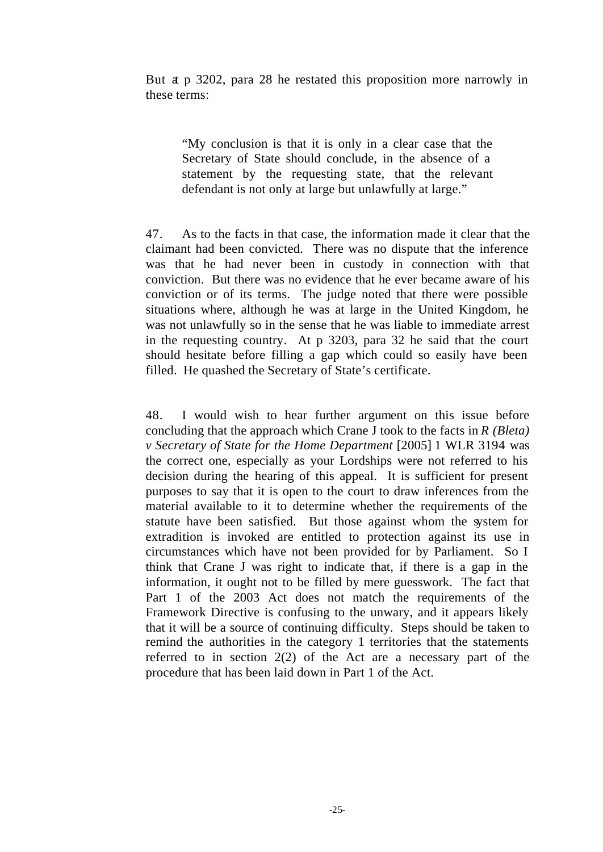But at p 3202, para 28 he restated this proposition more narrowly in these terms:

"My conclusion is that it is only in a clear case that the Secretary of State should conclude, in the absence of a statement by the requesting state, that the relevant defendant is not only at large but unlawfully at large."

47. As to the facts in that case, the information made it clear that the claimant had been convicted. There was no dispute that the inference was that he had never been in custody in connection with that conviction. But there was no evidence that he ever became aware of his conviction or of its terms. The judge noted that there were possible situations where, although he was at large in the United Kingdom, he was not unlawfully so in the sense that he was liable to immediate arrest in the requesting country. At p 3203, para 32 he said that the court should hesitate before filling a gap which could so easily have been filled. He quashed the Secretary of State's certificate.

48. I would wish to hear further argument on this issue before concluding that the approach which Crane J took to the facts in *R (Bleta) v Secretary of State for the Home Department* [2005] 1 WLR 3194 was the correct one, especially as your Lordships were not referred to his decision during the hearing of this appeal. It is sufficient for present purposes to say that it is open to the court to draw inferences from the material available to it to determine whether the requirements of the statute have been satisfied. But those against whom the system for extradition is invoked are entitled to protection against its use in circumstances which have not been provided for by Parliament. So I think that Crane J was right to indicate that, if there is a gap in the information, it ought not to be filled by mere guesswork. The fact that Part 1 of the 2003 Act does not match the requirements of the Framework Directive is confusing to the unwary, and it appears likely that it will be a source of continuing difficulty. Steps should be taken to remind the authorities in the category 1 territories that the statements referred to in section 2(2) of the Act are a necessary part of the procedure that has been laid down in Part 1 of the Act.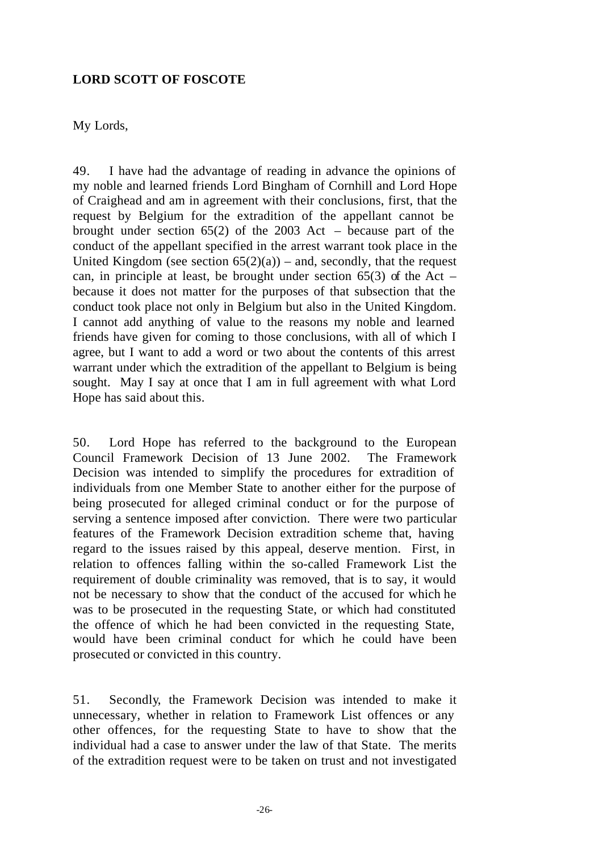## **LORD SCOTT OF FOSCOTE**

My Lords,

49. I have had the advantage of reading in advance the opinions of my noble and learned friends Lord Bingham of Cornhill and Lord Hope of Craighead and am in agreement with their conclusions, first, that the request by Belgium for the extradition of the appellant cannot be brought under section 65(2) of the 2003 Act – because part of the conduct of the appellant specified in the arrest warrant took place in the United Kingdom (see section  $65(2)(a)$ ) – and, secondly, that the request can, in principle at least, be brought under section  $65(3)$  of the Act – because it does not matter for the purposes of that subsection that the conduct took place not only in Belgium but also in the United Kingdom. I cannot add anything of value to the reasons my noble and learned friends have given for coming to those conclusions, with all of which I agree, but I want to add a word or two about the contents of this arrest warrant under which the extradition of the appellant to Belgium is being sought. May I say at once that I am in full agreement with what Lord Hope has said about this.

50. Lord Hope has referred to the background to the European Council Framework Decision of 13 June 2002. The Framework Decision was intended to simplify the procedures for extradition of individuals from one Member State to another either for the purpose of being prosecuted for alleged criminal conduct or for the purpose of serving a sentence imposed after conviction. There were two particular features of the Framework Decision extradition scheme that, having regard to the issues raised by this appeal, deserve mention. First, in relation to offences falling within the so-called Framework List the requirement of double criminality was removed, that is to say, it would not be necessary to show that the conduct of the accused for which he was to be prosecuted in the requesting State, or which had constituted the offence of which he had been convicted in the requesting State, would have been criminal conduct for which he could have been prosecuted or convicted in this country.

51. Secondly, the Framework Decision was intended to make it unnecessary, whether in relation to Framework List offences or any other offences, for the requesting State to have to show that the individual had a case to answer under the law of that State. The merits of the extradition request were to be taken on trust and not investigated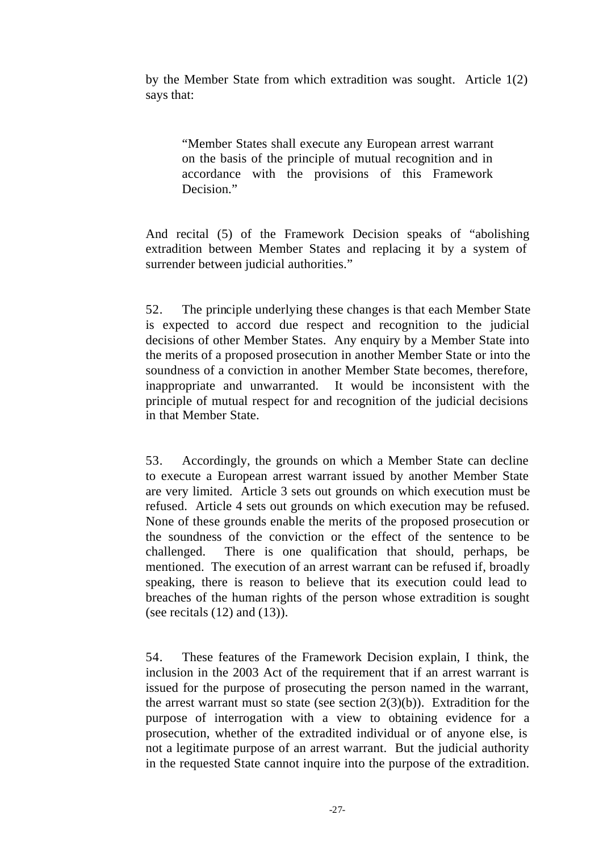by the Member State from which extradition was sought. Article 1(2) says that:

"Member States shall execute any European arrest warrant on the basis of the principle of mutual recognition and in accordance with the provisions of this Framework Decision."

And recital (5) of the Framework Decision speaks of "abolishing extradition between Member States and replacing it by a system of surrender between judicial authorities."

52. The principle underlying these changes is that each Member State is expected to accord due respect and recognition to the judicial decisions of other Member States. Any enquiry by a Member State into the merits of a proposed prosecution in another Member State or into the soundness of a conviction in another Member State becomes, therefore, inappropriate and unwarranted. It would be inconsistent with the principle of mutual respect for and recognition of the judicial decisions in that Member State.

53. Accordingly, the grounds on which a Member State can decline to execute a European arrest warrant issued by another Member State are very limited. Article 3 sets out grounds on which execution must be refused. Article 4 sets out grounds on which execution may be refused. None of these grounds enable the merits of the proposed prosecution or the soundness of the conviction or the effect of the sentence to be challenged. There is one qualification that should, perhaps, be mentioned. The execution of an arrest warrant can be refused if, broadly speaking, there is reason to believe that its execution could lead to breaches of the human rights of the person whose extradition is sought (see recitals  $(12)$  and  $(13)$ ).

54. These features of the Framework Decision explain, I think, the inclusion in the 2003 Act of the requirement that if an arrest warrant is issued for the purpose of prosecuting the person named in the warrant, the arrest warrant must so state (see section  $2(3)(b)$ ). Extradition for the purpose of interrogation with a view to obtaining evidence for a prosecution, whether of the extradited individual or of anyone else, is not a legitimate purpose of an arrest warrant. But the judicial authority in the requested State cannot inquire into the purpose of the extradition.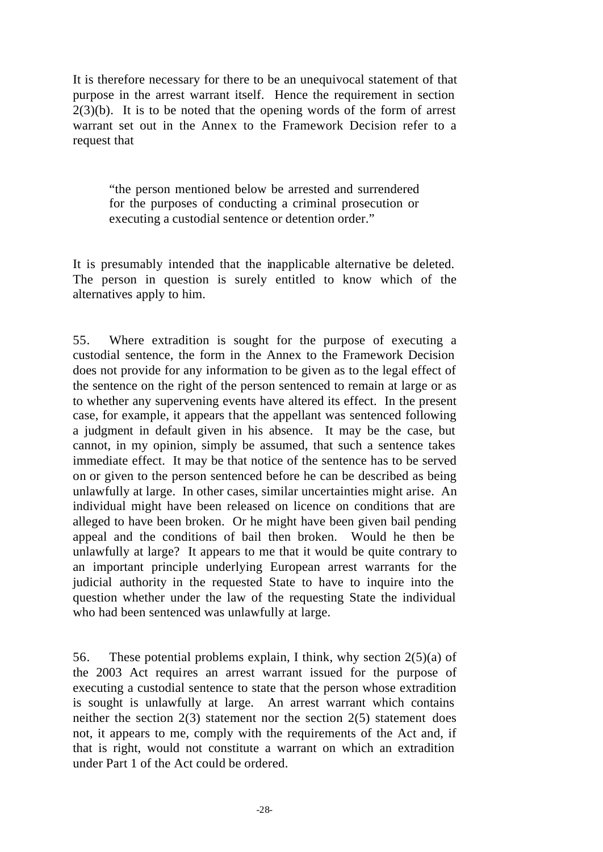It is therefore necessary for there to be an unequivocal statement of that purpose in the arrest warrant itself. Hence the requirement in section  $2(3)(b)$ . It is to be noted that the opening words of the form of arrest warrant set out in the Annex to the Framework Decision refer to a request that

"the person mentioned below be arrested and surrendered for the purposes of conducting a criminal prosecution or executing a custodial sentence or detention order."

It is presumably intended that the inapplicable alternative be deleted. The person in question is surely entitled to know which of the alternatives apply to him.

55. Where extradition is sought for the purpose of executing a custodial sentence, the form in the Annex to the Framework Decision does not provide for any information to be given as to the legal effect of the sentence on the right of the person sentenced to remain at large or as to whether any supervening events have altered its effect. In the present case, for example, it appears that the appellant was sentenced following a judgment in default given in his absence. It may be the case, but cannot, in my opinion, simply be assumed, that such a sentence takes immediate effect. It may be that notice of the sentence has to be served on or given to the person sentenced before he can be described as being unlawfully at large. In other cases, similar uncertainties might arise. An individual might have been released on licence on conditions that are alleged to have been broken. Or he might have been given bail pending appeal and the conditions of bail then broken. Would he then be unlawfully at large? It appears to me that it would be quite contrary to an important principle underlying European arrest warrants for the judicial authority in the requested State to have to inquire into the question whether under the law of the requesting State the individual who had been sentenced was unlawfully at large.

56. These potential problems explain, I think, why section 2(5)(a) of the 2003 Act requires an arrest warrant issued for the purpose of executing a custodial sentence to state that the person whose extradition is sought is unlawfully at large. An arrest warrant which contains neither the section 2(3) statement nor the section 2(5) statement does not, it appears to me, comply with the requirements of the Act and, if that is right, would not constitute a warrant on which an extradition under Part 1 of the Act could be ordered.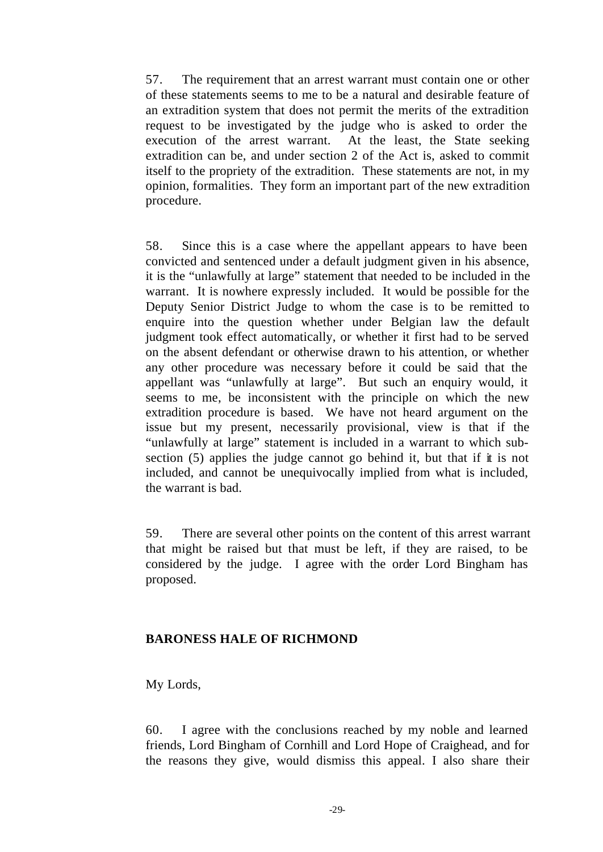57. The requirement that an arrest warrant must contain one or other of these statements seems to me to be a natural and desirable feature of an extradition system that does not permit the merits of the extradition request to be investigated by the judge who is asked to order the execution of the arrest warrant. At the least, the State seeking extradition can be, and under section 2 of the Act is, asked to commit itself to the propriety of the extradition. These statements are not, in my opinion, formalities. They form an important part of the new extradition procedure.

58. Since this is a case where the appellant appears to have been convicted and sentenced under a default judgment given in his absence, it is the "unlawfully at large" statement that needed to be included in the warrant. It is nowhere expressly included. It would be possible for the Deputy Senior District Judge to whom the case is to be remitted to enquire into the question whether under Belgian law the default judgment took effect automatically, or whether it first had to be served on the absent defendant or otherwise drawn to his attention, or whether any other procedure was necessary before it could be said that the appellant was "unlawfully at large". But such an enquiry would, it seems to me, be inconsistent with the principle on which the new extradition procedure is based. We have not heard argument on the issue but my present, necessarily provisional, view is that if the "unlawfully at large" statement is included in a warrant to which subsection (5) applies the judge cannot go behind it, but that if it is not included, and cannot be unequivocally implied from what is included, the warrant is bad.

59. There are several other points on the content of this arrest warrant that might be raised but that must be left, if they are raised, to be considered by the judge. I agree with the order Lord Bingham has proposed.

### **BARONESS HALE OF RICHMOND**

My Lords,

60. I agree with the conclusions reached by my noble and learned friends, Lord Bingham of Cornhill and Lord Hope of Craighead, and for the reasons they give, would dismiss this appeal. I also share their